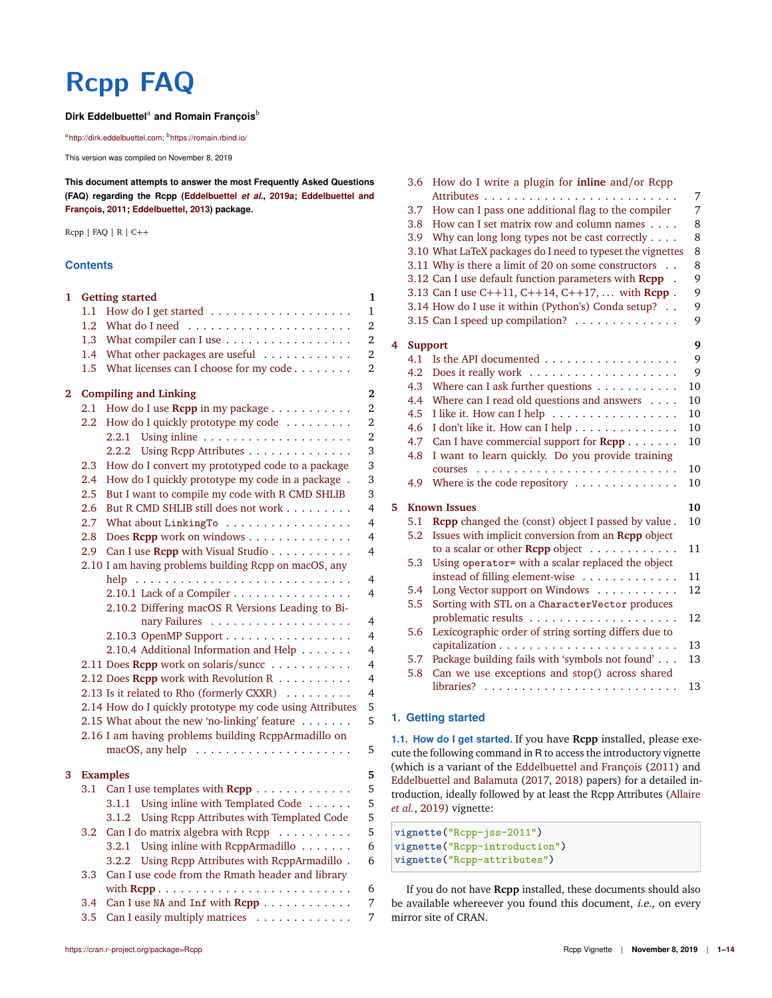# **Rcpp FAQ**

## Dirk Eddelbuettel<sup>a</sup> and Romain François<sup>b</sup>

<sup>a</sup>http://dirk.eddelbuettel.com; <sup>b</sup>https://romain.rbind.io/

This version was compiled on November 8, 2019

**This document attempts to answer the most Frequently Asked Questions (FAQ) regarding the Rcpp (Eddelbuettel** *et al.***, 2019a; Eddelbuettel and François, 2011; Eddelbuettel, 2013) package.**

Rcpp | FAQ | R | C++

#### **Contents**

| 1 |         | <b>Getting started</b>                                   | $\mathbf{1}$   |
|---|---------|----------------------------------------------------------|----------------|
|   | 1.1     |                                                          | $\mathbf{1}$   |
|   | $1.2\,$ |                                                          | $\overline{2}$ |
|   | 1.3     | What compiler can I use                                  | $\overline{2}$ |
|   | 1.4     | What other packages are useful                           | $\overline{2}$ |
|   | 1.5     | What licenses can I choose for my code                   | 2              |
| 2 |         | <b>Compiling and Linking</b>                             | $\overline{2}$ |
|   | $2.1\,$ | How do I use Rcpp in my package                          | $\overline{2}$ |
|   | 2.2     | How do I quickly prototype my code                       | $\overline{2}$ |
|   |         | 2.2.1                                                    | $\overline{2}$ |
|   |         | 2.2.2<br>Using Repp Attributes                           | 3              |
|   | 2.3     | How do I convert my prototyped code to a package         | 3              |
|   | 2.4     | How do I quickly prototype my code in a package .        | 3              |
|   | 2.5     | But I want to compile my code with R CMD SHLIB           | 3              |
|   | 2.6     | But R CMD SHLIB still does not work                      | 4              |
|   | 2.7     | What about LinkingTo                                     | 4              |
|   | 2.8     | Does Rcpp work on windows                                | 4              |
|   | 2.9     | Can I use Rcpp with Visual Studio                        | 4              |
|   |         | 2.10 I am having problems building Rcpp on macOS, any    |                |
|   |         | help                                                     | $\overline{4}$ |
|   |         | 2.10.1 Lack of a Compiler                                | 4              |
|   |         | 2.10.2 Differing macOS R Versions Leading to Bi-         |                |
|   |         |                                                          | 4              |
|   |         | 2.10.3 OpenMP Support                                    | 4              |
|   |         | 2.10.4 Additional Information and Help                   | 4              |
|   |         | 2.11 Does Rcpp work on solaris/sunce                     | 4              |
|   |         | 2.12 Does Rcpp work with Revolution R                    | 4              |
|   |         | 2.13 Is it related to Rho (formerly CXXR)<br>.           | 4              |
|   |         | 2.14 How do I quickly prototype my code using Attributes | 5              |
|   |         | 2.15 What about the new 'no-linking' feature             | 5              |
|   |         | 2.16 I am having problems building ReppArmadillo on      |                |
|   |         |                                                          | 5              |
| 3 |         | <b>Examples</b>                                          | 5              |
|   | 3.1     | Can I use templates with Rcpp                            | 5              |
|   |         | Using inline with Templated Code<br>3.1.1                | 5              |
|   |         | Using Repp Attributes with Templated Code<br>3.1.2       | 5              |
|   | 3.2     | Can I do matrix algebra with Rcpp                        | 5              |
|   |         | Using inline with RcppArmadillo<br>3.2.1                 | 6              |
|   |         | 3.2.2<br>Using Repp Attributes with ReppArmadillo.       | 6              |
|   | 3.3     | Can I use code from the Rmath header and library         |                |
|   |         |                                                          | 6              |
|   | 3.4     | Can I use NA and Inf with Rcpp                           | 7              |
|   | 3.5     | Can I easily multiply matrices                           | 7              |

|   | 3.6            | How do I write a plugin for inline and/or Rcpp              | 7  |
|---|----------------|-------------------------------------------------------------|----|
|   | 3.7            | How can I pass one additional flag to the compiler          | 7  |
|   | 3.8            | How can I set matrix row and column names                   | 8  |
|   |                | 3.9 Why can long long types not be cast correctly           | 8  |
|   |                | 3.10 What LaTeX packages do I need to typeset the vignettes | 8  |
|   |                | 3.11 Why is there a limit of 20 on some constructors        | 8  |
|   |                | 3.12 Can I use default function parameters with Rcpp .      | 9  |
|   |                | 3.13 Can I use C++11, C++14, C++17,  with Rcpp.             | 9  |
|   |                | 3.14 How do I use it within (Python's) Conda setup?         | 9  |
|   |                | 3.15 Can I speed up compilation?                            | 9  |
| 4 | <b>Support</b> |                                                             | 9  |
|   | 4.1            | Is the API documented                                       | 9  |
|   | 4.2            |                                                             | 9  |
|   | 4.3            | Where can I ask further questions $\dots \dots \dots$       | 10 |
|   | 4.4            | Where can I read old questions and answers $\dots$          | 10 |
|   | 4.5            | I like it. How can I help                                   | 10 |
|   | 4.6            | I don't like it. How can I help                             | 10 |
|   | 4.7            | Can I have commercial support for $\text{Rcpp} \dots \dots$ | 10 |
|   | 4.8            | I want to learn quickly. Do you provide training            |    |
|   |                |                                                             | 10 |
|   | 4.9            | Where is the code repository                                | 10 |
| 5 |                | <b>Known Issues</b>                                         | 10 |
|   | 5.1            | Rcpp changed the (const) object I passed by value.          | 10 |
|   | 5.2            | Issues with implicit conversion from an Rcpp object         |    |
|   |                | to a scalar or other <b>Repp</b> object                     | 11 |
|   | 5.3            | Using operator= with a scalar replaced the object           |    |
|   |                | instead of filling element-wise                             | 11 |
|   | 5.4            | Long Vector support on Windows                              | 12 |
|   | 5.5            | Sorting with STL on a CharacterVector produces              |    |
|   |                |                                                             | 12 |
|   | 5.6            | Lexicographic order of string sorting differs due to        |    |
|   |                |                                                             | 13 |
|   | 5.7            | Package building fails with 'symbols not found'             | 13 |
|   | 5.8            | Can we use exceptions and stop() across shared              |    |
|   |                |                                                             | 13 |
|   |                |                                                             |    |

## **1. Getting started**

**1.1. How do I get started.** If you have **Rcpp** installed, please execute the following command in R to access the introductory vignette (which is a variant of the Eddelbuettel and François (2011) and Eddelbuettel and Balamuta (2017, 2018) papers) for a detailed introduction, ideally followed by at least the Rcpp Attributes (Allaire *et al.*, 2019) vignette:

```
vignette("Rcpp-jss-2011")
vignette("Rcpp-introduction")
vignette("Rcpp-attributes")
```
If you do not have **Rcpp** installed, these documents should also be available whereever you found this document, i.e., on every mirror site of CRAN.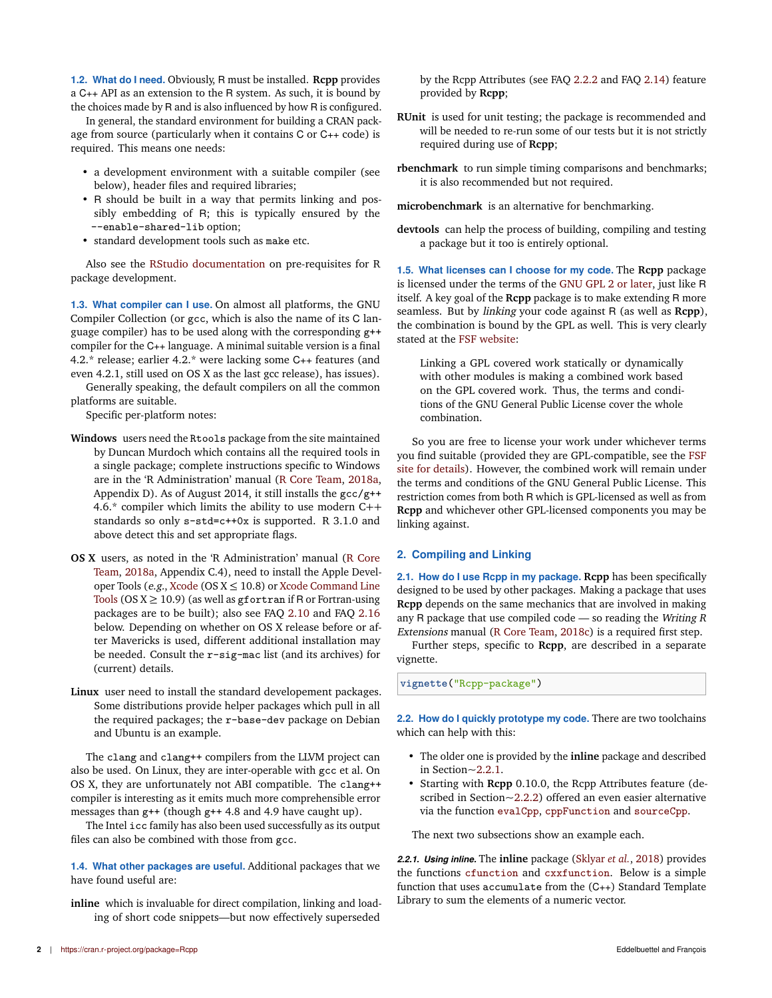**1.2. What do I need.** Obviously, R must be installed. **Rcpp** provides a C++ API as an extension to the R system. As such, it is bound by the choices made by R and is also influenced by how R is configured.

In general, the standard environment for building a CRAN package from source (particularly when it contains C or C++ code) is required. This means one needs:

- a development environment with a suitable compiler (see below), header files and required libraries;
- R should be built in a way that permits linking and possibly embedding of R; this is typically ensured by the --enable-shared-lib option;
- standard development tools such as make etc.

Also see the RStudio documentation on pre-requisites for R package development.

**1.3. What compiler can I use.** On almost all platforms, the GNU Compiler Collection (or gcc, which is also the name of its C language compiler) has to be used along with the corresponding g++ compiler for the C++ language. A minimal suitable version is a final 4.2.\* release; earlier 4.2.\* were lacking some C++ features (and even 4.2.1, still used on OS X as the last gcc release), has issues).

Generally speaking, the default compilers on all the common platforms are suitable.

Specific per-platform notes:

- **Windows** users need the Rtools package from the site maintained by Duncan Murdoch which contains all the required tools in a single package; complete instructions specific to Windows are in the 'R Administration' manual (R Core Team, 2018a, Appendix D). As of August 2014, it still installs the gcc/g++ 4.6.\* compiler which limits the ability to use modern C++ standards so only s-std=c++0x is supported. R 3.1.0 and above detect this and set appropriate flags.
- **OS X** users, as noted in the 'R Administration' manual (R Core Team, 2018a, Appendix C.4), need to install the Apple Developer Tools (e.g., Xcode (OS  $X \le 10.8$ ) or Xcode Command Line Tools (OS  $X \ge 10.9$ ) (as well as gfortran if R or Fortran-using packages are to be built); also see FAQ 2.10 and FAQ 2.16 below. Depending on whether on OS X release before or after Mavericks is used, different additional installation may be needed. Consult the r-sig-mac list (and its archives) for (current) details.
- **Linux** user need to install the standard developement packages. Some distributions provide helper packages which pull in all the required packages; the r-base-dev package on Debian and Ubuntu is an example.

The clang and clang++ compilers from the LLVM project can also be used. On Linux, they are inter-operable with gcc et al. On OS X, they are unfortunately not ABI compatible. The clang++ compiler is interesting as it emits much more comprehensible error messages than g++ (though g++ 4.8 and 4.9 have caught up).

The Intel icc family has also been used successfully as its output files can also be combined with those from gcc.

**1.4. What other packages are useful.** Additional packages that we have found useful are:

**inline** which is invaluable for direct compilation, linking and loading of short code snippets—but now effectively superseded

by the Rcpp Attributes (see FAQ 2.2.2 and FAQ 2.14) feature provided by **Rcpp**;

- **RUnit** is used for unit testing; the package is recommended and will be needed to re-run some of our tests but it is not strictly required during use of **Rcpp**;
- **rbenchmark** to run simple timing comparisons and benchmarks; it is also recommended but not required.

**microbenchmark** is an alternative for benchmarking.

**devtools** can help the process of building, compiling and testing a package but it too is entirely optional.

**1.5. What licenses can I choose for my code.** The **Rcpp** package is licensed under the terms of the GNU GPL 2 or later, just like R itself. A key goal of the **Rcpp** package is to make extending R more seamless. But by linking your code against R (as well as **Rcpp**), the combination is bound by the GPL as well. This is very clearly stated at the FSF website:

Linking a GPL covered work statically or dynamically with other modules is making a combined work based on the GPL covered work. Thus, the terms and conditions of the GNU General Public License cover the whole combination.

So you are free to license your work under whichever terms you find suitable (provided they are GPL-compatible, see the FSF site for details). However, the combined work will remain under the terms and conditions of the GNU General Public License. This restriction comes from both R which is GPL-licensed as well as from **Rcpp** and whichever other GPL-licensed components you may be linking against.

## **2. Compiling and Linking**

**2.1. How do I use Rcpp in my package. Rcpp** has been specifically designed to be used by other packages. Making a package that uses **Rcpp** depends on the same mechanics that are involved in making any R package that use compiled code  $-$  so reading the Writing R Extensions manual (R Core Team, 2018c) is a required first step.

Further steps, specific to **Rcpp**, are described in a separate vignette.

**vignette**("Rcpp-package")

**2.2. How do I quickly prototype my code.** There are two toolchains which can help with this:

- The older one is provided by the **inline** package and described in Section~2.2.1.
- Starting with **Rcpp** 0.10.0, the Rcpp Attributes feature (described in Section~2.2.2) offered an even easier alternative via the function evalCpp, cppFunction and sourceCpp.

The next two subsections show an example each.

*2.2.1. Using inline.* The **inline** package (Sklyar *et al.*, 2018) provides the functions cfunction and cxxfunction. Below is a simple function that uses accumulate from the (C++) Standard Template Library to sum the elements of a numeric vector.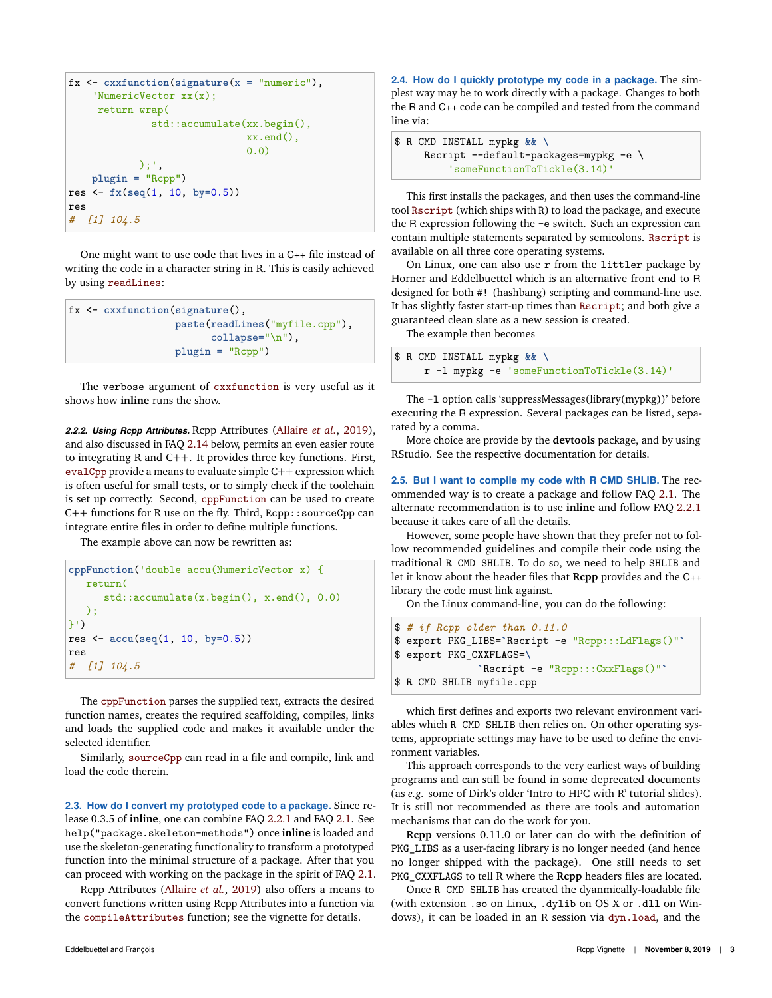```
fx <- cxxfunction(signature(x = "numeric"),
    'NumericVector xx(x);
     return wrap(
              std::accumulate(xx.begin(),
                              xx.end(),
                               0.0)
            );',
    plugin = "Rcpp")
res <- fx(seq(1, 10, by=0.5))
res
# [1] 104.5
```
One might want to use code that lives in a C++ file instead of writing the code in a character string in R. This is easily achieved by using readLines:

```
fx <- cxxfunction(signature(),
                  paste(readLines("myfile.cpp"),
                        collapse="\n"),
                  plugin = "Rcpp")
```
The verbose argument of cxxfunction is very useful as it shows how **inline** runs the show.

*2.2.2. Using Rcpp Attributes.* Rcpp Attributes (Allaire *et al.*, 2019), and also discussed in FAQ 2.14 below, permits an even easier route to integrating R and C++. It provides three key functions. First, evalCpp provide a means to evaluate simple C++ expression which is often useful for small tests, or to simply check if the toolchain is set up correctly. Second, cppFunction can be used to create C++ functions for R use on the fly. Third, Rcpp::sourceCpp can integrate entire files in order to define multiple functions.

The example above can now be rewritten as:

```
cppFunction('double accu(NumericVector x) {
   return(
      std::accumulate(x.begin(), x.end(), 0.0)
   );
}')
res <- accu(seq(1, 10, by=0.5))
res
# [1] 104.5
```
The cppFunction parses the supplied text, extracts the desired function names, creates the required scaffolding, compiles, links and loads the supplied code and makes it available under the selected identifier.

Similarly, sourceCpp can read in a file and compile, link and load the code therein.

**2.3. How do I convert my prototyped code to a package.** Since release 0.3.5 of **inline**, one can combine FAQ 2.2.1 and FAQ 2.1. See help("package.skeleton-methods") once **inline** is loaded and use the skeleton-generating functionality to transform a prototyped function into the minimal structure of a package. After that you can proceed with working on the package in the spirit of FAQ 2.1.

Rcpp Attributes (Allaire *et al.*, 2019) also offers a means to convert functions written using Rcpp Attributes into a function via the compileAttributes function; see the vignette for details.

**2.4. How do I quickly prototype my code in a package.** The simplest way may be to work directly with a package. Changes to both the R and C++ code can be compiled and tested from the command line via:

```
$ R CMD INSTALL mypkg && \
     Rscript --default-packages=mypkg -e \
         'someFunctionToTickle(3.14)'
```
This first installs the packages, and then uses the command-line tool Rscript (which ships with R) to load the package, and execute the R expression following the -e switch. Such an expression can contain multiple statements separated by semicolons. Rscript is available on all three core operating systems.

On Linux, one can also use r from the littler package by Horner and Eddelbuettel which is an alternative front end to R designed for both #! (hashbang) scripting and command-line use. It has slightly faster start-up times than Rscript; and both give a guaranteed clean slate as a new session is created.

The example then becomes \$ R CMD INSTALL mypkg **&& \**

|  |  | β R CMD INSTALL mypkg && \                 |  |  |  |  |
|--|--|--------------------------------------------|--|--|--|--|
|  |  | r -1 mypkg -e 'someFunctionToTickle(3.14)' |  |  |  |  |

The -l option calls 'suppressMessages(library(mypkg))' before executing the R expression. Several packages can be listed, separated by a comma.

More choice are provide by the **devtools** package, and by using RStudio. See the respective documentation for details.

**2.5. But I want to compile my code with R CMD SHLIB.** The recommended way is to create a package and follow FAQ 2.1. The alternate recommendation is to use **inline** and follow FAQ 2.2.1 because it takes care of all the details.

However, some people have shown that they prefer not to follow recommended guidelines and compile their code using the traditional R CMD SHLIB. To do so, we need to help SHLIB and let it know about the header files that **Rcpp** provides and the C++ library the code must link against.

On the Linux command-line, you can do the following:

```
$ # if Rcpp older than 0.11.0
$ export PKG_LIBS=`Rscript -e "Rcpp:::LdFlags()"`
$ export PKG_CXXFLAGS=\
              `Rscript -e "Rcpp:::CxxFlags()"`
$ R CMD SHLIB myfile.cpp
```
which first defines and exports two relevant environment variables which R CMD SHLIB then relies on. On other operating systems, appropriate settings may have to be used to define the environment variables.

This approach corresponds to the very earliest ways of building programs and can still be found in some deprecated documents (as *e.g.* some of Dirk's older 'Intro to HPC with R' tutorial slides). It is still not recommended as there are tools and automation mechanisms that can do the work for you.

**Rcpp** versions 0.11.0 or later can do with the definition of PKG\_LIBS as a user-facing library is no longer needed (and hence no longer shipped with the package). One still needs to set PKG\_CXXFLAGS to tell R where the **Rcpp** headers files are located.

Once R CMD SHLIB has created the dyanmically-loadable file (with extension .so on Linux, .dylib on OS X or .dll on Windows), it can be loaded in an R session via dyn.load, and the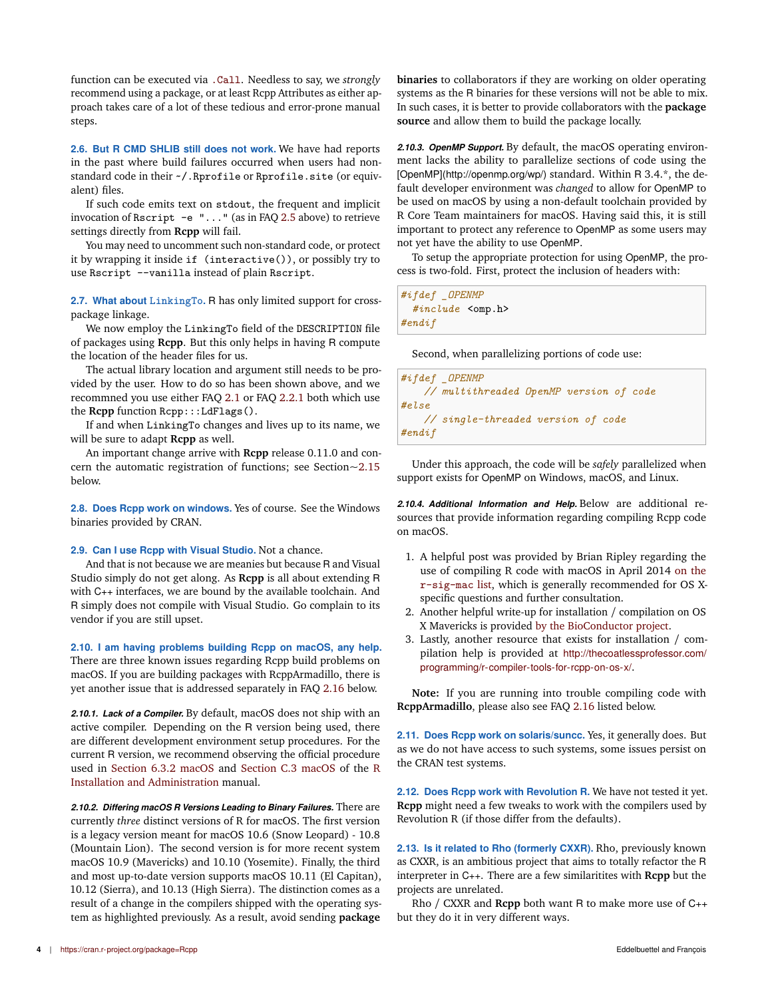function can be executed via .Call. Needless to say, we *strongly* recommend using a package, or at least Rcpp Attributes as either approach takes care of a lot of these tedious and error-prone manual steps.

**2.6. But R CMD SHLIB still does not work.** We have had reports in the past where build failures occurred when users had nonstandard code in their  $\sim$ /. Rprofile or Rprofile.site (or equivalent) files.

If such code emits text on stdout, the frequent and implicit invocation of Rscript -e "..." (as in FAQ 2.5 above) to retrieve settings directly from **Rcpp** will fail.

You may need to uncomment such non-standard code, or protect it by wrapping it inside if (interactive()), or possibly try to use Rscript --vanilla instead of plain Rscript.

**2.7. What about LinkingTo.** R has only limited support for crosspackage linkage.

We now employ the LinkingTo field of the DESCRIPTION file of packages using **Rcpp**. But this only helps in having R compute the location of the header files for us.

The actual library location and argument still needs to be provided by the user. How to do so has been shown above, and we recommned you use either FAQ 2.1 or FAQ 2.2.1 both which use the **Rcpp** function Rcpp:::LdFlags().

If and when LinkingTo changes and lives up to its name, we will be sure to adapt **Rcpp** as well.

An important change arrive with **Rcpp** release 0.11.0 and concern the automatic registration of functions; see Section~2.15 below.

**2.8. Does Rcpp work on windows.** Yes of course. See the Windows binaries provided by CRAN.

#### **2.9. Can I use Rcpp with Visual Studio.** Not a chance.

And that is not because we are meanies but because R and Visual Studio simply do not get along. As **Rcpp** is all about extending R with C++ interfaces, we are bound by the available toolchain. And R simply does not compile with Visual Studio. Go complain to its vendor if you are still upset.

**2.10. I am having problems building Rcpp on macOS, any help.** There are three known issues regarding Rcpp build problems on macOS. If you are building packages with RcppArmadillo, there is yet another issue that is addressed separately in FAQ 2.16 below.

*2.10.1. Lack of a Compiler.* By default, macOS does not ship with an active compiler. Depending on the R version being used, there are different development environment setup procedures. For the current R version, we recommend observing the official procedure used in Section 6.3.2 macOS and Section C.3 macOS of the R Installation and Administration manual.

*2.10.2. Differing macOS R Versions Leading to Binary Failures.* There are currently *three* distinct versions of R for macOS. The first version is a legacy version meant for macOS 10.6 (Snow Leopard) - 10.8 (Mountain Lion). The second version is for more recent system macOS 10.9 (Mavericks) and 10.10 (Yosemite). Finally, the third and most up-to-date version supports macOS 10.11 (El Capitan), 10.12 (Sierra), and 10.13 (High Sierra). The distinction comes as a result of a change in the compilers shipped with the operating system as highlighted previously. As a result, avoid sending **package**

**binaries** to collaborators if they are working on older operating systems as the R binaries for these versions will not be able to mix. In such cases, it is better to provide collaborators with the **package source** and allow them to build the package locally.

*2.10.3. OpenMP Support.* By default, the macOS operating environment lacks the ability to parallelize sections of code using the [OpenMP](http://openmp.org/wp/) standard. Within R 3.4.\*, the default developer environment was *changed* to allow for OpenMP to be used on macOS by using a non-default toolchain provided by R Core Team maintainers for macOS. Having said this, it is still important to protect any reference to OpenMP as some users may not yet have the ability to use OpenMP.

To setup the appropriate protection for using OpenMP, the process is two-fold. First, protect the inclusion of headers with:

| #ifdef _OPENMP         |  |  |
|------------------------|--|--|
| $\#inculate$ < omp. h> |  |  |
| #endif                 |  |  |

Second, when parallelizing portions of code use:

```
#ifdef _OPENMP
    // multithreaded OpenMP version of code
#else
   // single-threaded version of code
#endif
```
Under this approach, the code will be *safely* parallelized when support exists for OpenMP on Windows, macOS, and Linux.

*2.10.4. Additional Information and Help.* Below are additional resources that provide information regarding compiling Rcpp code on macOS.

- 1. A helpful post was provided by Brian Ripley regarding the use of compiling R code with macOS in April 2014 on the r-sig-mac list, which is generally recommended for OS Xspecific questions and further consultation.
- 2. Another helpful write-up for installation / compilation on OS X Mavericks is provided by the BioConductor project.
- 3. Lastly, another resource that exists for installation / compilation help is provided at http://thecoatlessprofessor.com/ programming/r-compiler-tools-for-rcpp-on-os-x/.

**Note:** If you are running into trouble compiling code with **RcppArmadillo**, please also see FAQ 2.16 listed below.

**2.11. Does Rcpp work on solaris/suncc.** Yes, it generally does. But as we do not have access to such systems, some issues persist on the CRAN test systems.

**2.12. Does Rcpp work with Revolution R.** We have not tested it yet. **Rcpp** might need a few tweaks to work with the compilers used by Revolution R (if those differ from the defaults).

**2.13. Is it related to Rho (formerly CXXR).** Rho, previously known as CXXR, is an ambitious project that aims to totally refactor the R interpreter in C++. There are a few similaritites with **Rcpp** but the projects are unrelated.

Rho / CXXR and **Rcpp** both want R to make more use of C++ but they do it in very different ways.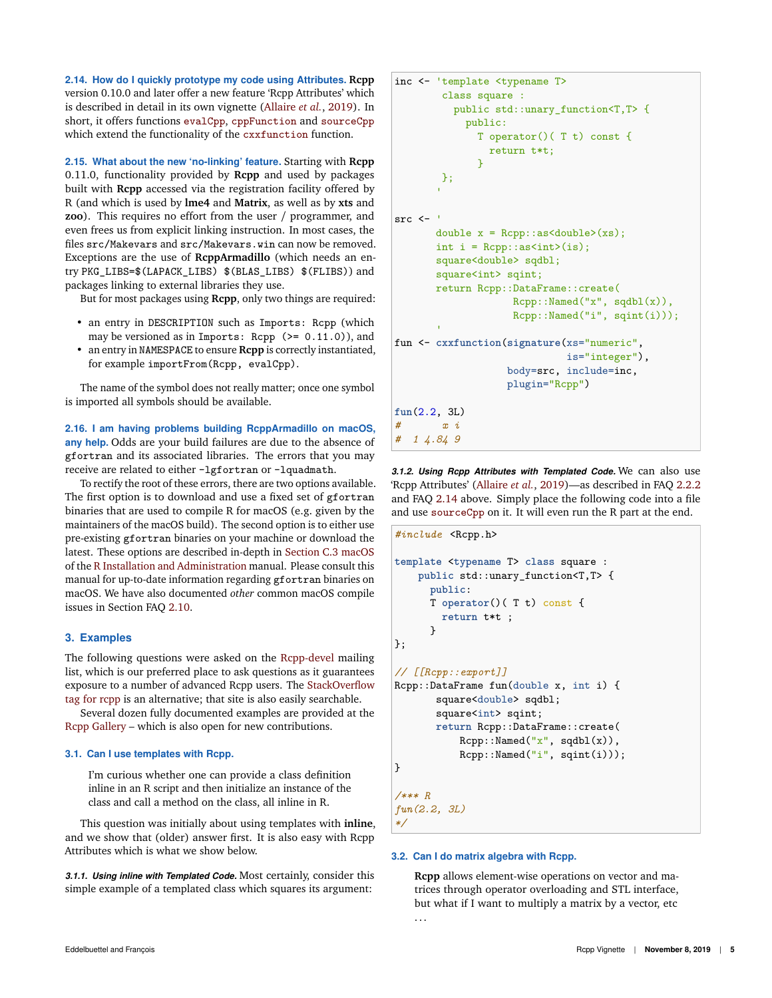**2.14. How do I quickly prototype my code using Attributes. Rcpp** version 0.10.0 and later offer a new feature 'Rcpp Attributes' which is described in detail in its own vignette (Allaire *et al.*, 2019). In short, it offers functions evalCpp, cppFunction and sourceCpp which extend the functionality of the cxxfunction function.

**2.15. What about the new 'no-linking' feature.** Starting with **Rcpp** 0.11.0, functionality provided by **Rcpp** and used by packages built with **Rcpp** accessed via the registration facility offered by R (and which is used by **lme4** and **Matrix**, as well as by **xts** and **zoo**). This requires no effort from the user / programmer, and even frees us from explicit linking instruction. In most cases, the files src/Makevars and src/Makevars.win can now be removed. Exceptions are the use of **RcppArmadillo** (which needs an entry PKG\_LIBS=\$(LAPACK\_LIBS) \$(BLAS\_LIBS) \$(FLIBS)) and packages linking to external libraries they use.

But for most packages using **Rcpp**, only two things are required:

- an entry in DESCRIPTION such as Imports: Rcpp (which may be versioned as in Imports: Rcpp  $(>= 0.11.0)$ , and
- an entry in NAMESPACE to ensure **Rcpp** is correctly instantiated, for example importFrom(Rcpp, evalCpp).

The name of the symbol does not really matter; once one symbol is imported all symbols should be available.

**2.16. I am having problems building RcppArmadillo on macOS, any help.** Odds are your build failures are due to the absence of gfortran and its associated libraries. The errors that you may receive are related to either -lgfortran or -lquadmath.

To rectify the root of these errors, there are two options available. The first option is to download and use a fixed set of gfortran binaries that are used to compile R for macOS (e.g. given by the maintainers of the macOS build). The second option is to either use pre-existing gfortran binaries on your machine or download the latest. These options are described in-depth in Section C.3 macOS of the R Installation and Administration manual. Please consult this manual for up-to-date information regarding gfortran binaries on macOS. We have also documented *other* common macOS compile issues in Section FAQ 2.10.

# **3. Examples**

The following questions were asked on the Rcpp-devel mailing list, which is our preferred place to ask questions as it guarantees exposure to a number of advanced Rcpp users. The StackOverflow tag for rcpp is an alternative; that site is also easily searchable.

Several dozen fully documented examples are provided at the Rcpp Gallery – which is also open for new contributions.

#### **3.1. Can I use templates with Rcpp.**

I'm curious whether one can provide a class definition inline in an R script and then initialize an instance of the class and call a method on the class, all inline in R.

This question was initially about using templates with **inline**, and we show that (older) answer first. It is also easy with Rcpp Attributes which is what we show below.

*3.1.1. Using inline with Templated Code.* Most certainly, consider this simple example of a templated class which squares its argument:

```
inc <- 'template <typename T>
       class square :
          public std::unary_function<T,T> {
            public:
              T operator()( T t) const {
                return t*t;
              }
       };
        'src <- '
       double x = Rcpp::as<double>(xs);
       int i = \text{Ropp}:ias<sub>int</sub>(is);square<double> sqdbl;
       square<int> sqint;
       return Rcpp::DataFrame::create(
                    Rcpp::Named("x", sqdbl(x)),
                     Rcpp::Named("i", sqint(i)));
fun <- cxxfunction(signature(xs="numeric",
                              is="integer"),
                    body=src, include=inc,
                    plugin="Rcpp")
fun(2.2, 3L)
        # x i
# 1 4.84 9
```
*3.1.2. Using Rcpp Attributes with Templated Code.* We can also use 'Rcpp Attributes' (Allaire *et al.*, 2019)—as described in FAQ 2.2.2 and FAQ 2.14 above. Simply place the following code into a file and use sourceCpp on it. It will even run the R part at the end.

```
#include <Rcpp.h>
template <typename T> class square :
   public std::unary_function<T,T> {
      public:
      T operator()( T t) const {
        return t*t ;
      }
};
// [[Rcpp::export]]
Rcpp::DataFrame fun(double x, int i) {
       square<double> sqdbl;
       square<int> sqint;
       return Rcpp::DataFrame::create(
           Rcpp::Named("x", sqdbl(x)),
           Rcpp::Named("i", sqint(i)));
}
/*** R
fun(2.2, 3L)
*/
```
#### **3.2. Can I do matrix algebra with Rcpp.**

**Rcpp** allows element-wise operations on vector and matrices through operator overloading and STL interface, but what if I want to multiply a matrix by a vector, etc . . .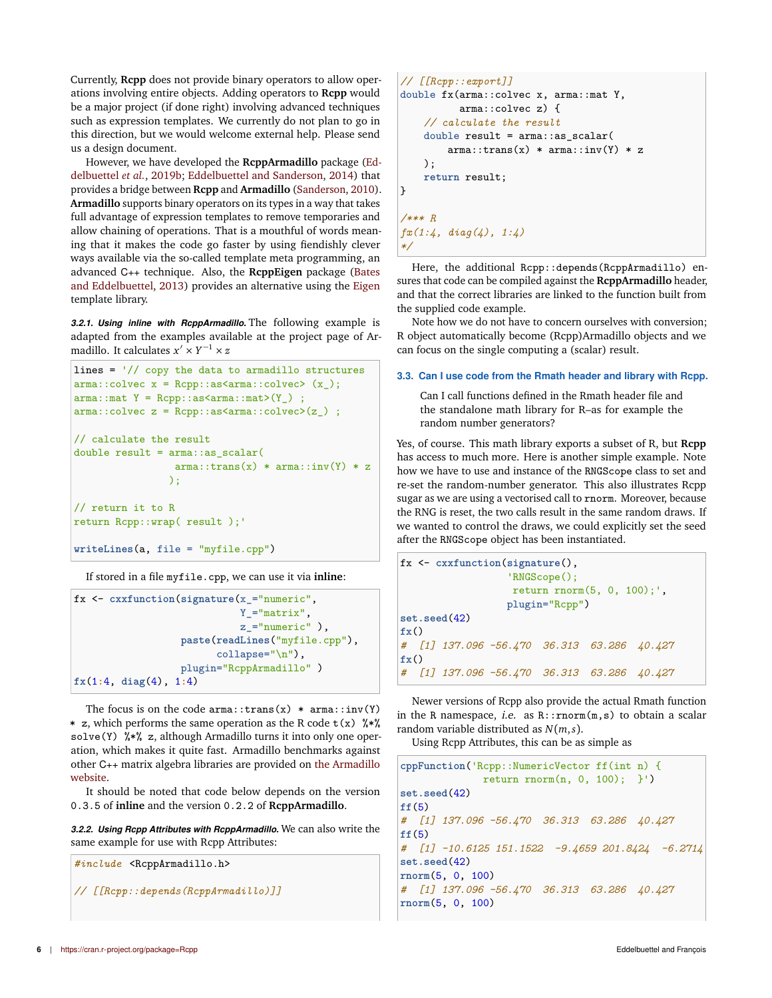Currently, **Rcpp** does not provide binary operators to allow operations involving entire objects. Adding operators to **Rcpp** would be a major project (if done right) involving advanced techniques such as expression templates. We currently do not plan to go in this direction, but we would welcome external help. Please send us a design document.

However, we have developed the **RcppArmadillo** package (Eddelbuettel *et al.*, 2019b; Eddelbuettel and Sanderson, 2014) that provides a bridge between **Rcpp** and **Armadillo** (Sanderson, 2010). **Armadillo** supports binary operators on its types in a way that takes full advantage of expression templates to remove temporaries and allow chaining of operations. That is a mouthful of words meaning that it makes the code go faster by using fiendishly clever ways available via the so-called template meta programming, an advanced C++ technique. Also, the **RcppEigen** package (Bates and Eddelbuettel, 2013) provides an alternative using the Eigen template library.

*3.2.1. Using inline with RcppArmadillo.* The following example is adapted from the examples available at the project page of Armadillo. It calculates *x* ′ × *Y* <sup>−</sup><sup>1</sup> × *z*

```
lines = \frac{1}{2} copy the data to armadillo structures
arma::colvec x = Rcpp::as\langle arma::colvec>(x_');arma::mat Y = Rcpp::as\langle arma::mat\rangle(Y);
arma::colvec z = Rcpp::as\langle arma::colvec>(z_{-}) ;
// calculate the result
double result = arma::as\_scalar(arma::trans(x) * arma::inv(Y) * z);
// return it to R
return Rcpp::wrap( result );'
writeLines(a, file = "myfile.cpp")
```
If stored in a file myfile.cpp, we can use it via **inline**:

```
fx <- cxxfunction(signature(x_="numeric",
                            Y_="matrix",
                            z_="numeric" ),
                  paste(readLines("myfile.cpp"),
                        collapse="\n"),
                  plugin="RcppArmadillo" )
fx(1:4, diag(4), 1:4)
```
The focus is on the code  $arma::trans(x) * arma::inv(Y)$ \* z, which performs the same operation as the R code  $t(x)$   $\frac{1}{2}$   $\frac{1}{2}$ solve(Y)  $\frac{1}{2}$   $\frac{1}{2}$ , although Armadillo turns it into only one operation, which makes it quite fast. Armadillo benchmarks against other C++ matrix algebra libraries are provided on the Armadillo website.

It should be noted that code below depends on the version 0.3.5 of **inline** and the version 0.2.2 of **RcppArmadillo**.

*3.2.2. Using Rcpp Attributes with RcppArmadillo.* We can also write the same example for use with Rcpp Attributes:

*#include* <RcppArmadillo.h> *// [[Rcpp::depends(RcppArmadillo)]]*

```
// [[Rcpp::export]]
double fx(arma::colvec x, arma::mat Y,
          arma::colvec z) {
    // calculate the result
    double result = arma::as_scalar(
        arma::trans(x) * arma::inv(Y) * z);
    return result;
}
/*** R
fx(1:4, diag(4), 1:4)
*/
```
Here, the additional Rcpp::depends(RcppArmadillo) ensures that code can be compiled against the **RcppArmadillo** header, and that the correct libraries are linked to the function built from the supplied code example.

Note how we do not have to concern ourselves with conversion; R object automatically become (Rcpp)Armadillo objects and we can focus on the single computing a (scalar) result.

# **3.3. Can I use code from the Rmath header and library with Rcpp.**

Can I call functions defined in the Rmath header file and the standalone math library for R–as for example the random number generators?

Yes, of course. This math library exports a subset of R, but **Rcpp** has access to much more. Here is another simple example. Note how we have to use and instance of the RNGScope class to set and re-set the random-number generator. This also illustrates Rcpp sugar as we are using a vectorised call to rnorm. Moreover, because the RNG is reset, the two calls result in the same random draws. If we wanted to control the draws, we could explicitly set the seed after the RNGScope object has been instantiated.

```
fx <- cxxfunction(signature(),
                  'RNGScope();
                  return rnorm(5, 0, 100);',
                 plugin="Rcpp")
set.seed(42)
fx()
# [1] 137.096 -56.470 36.313 63.286 40.427
fx()
# [1] 137.096 -56.470 36.313 63.286 40.427
```
Newer versions of Rcpp also provide the actual Rmath function in the R namespace, *i.e.* as  $R:remorm(m, s)$  to obtain a scalar random variable distributed as *N*(*m*,*s*).

Using Rcpp Attributes, this can be as simple as

```
cppFunction('Rcpp::NumericVector ff(int n) {
             return rnorm(n, 0, 100); }')
set.seed(42)
ff(5)
# [1] 137.096 -56.470 36.313 63.286 40.427
ff(5)
# [1] -10.6125 151.1522 -9.4659 201.8424 -6.2714
set.seed(42)
rnorm(5, 0, 100)
# [1] 137.096 -56.470 36.313 63.286 40.427
rnorm(5, 0, 100)
```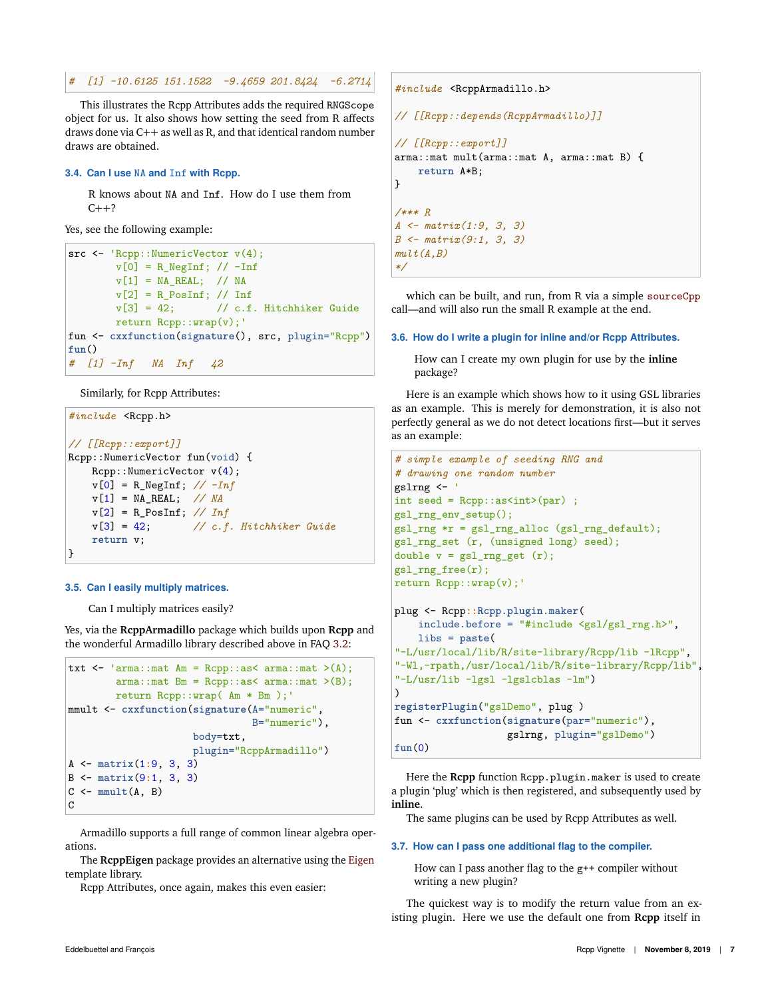*# [1] -10.6125 151.1522 -9.4659 201.8424 -6.2714*

This illustrates the Rcpp Attributes adds the required RNGScope object for us. It also shows how setting the seed from R affects draws done via C++ as well as R, and that identical random number draws are obtained.

## **3.4. Can I use NA and Inf with Rcpp.**

R knows about NA and Inf. How do I use them from  $C++?$ 

Yes, see the following example:

src  $\leq$  'Rcpp:: NumericVector  $v(4)$ ;  $v[0] = R_N e^{int}$ ; //  $-Inf$  $v[1] = NA\_REAL;$  // NA  $v[2] = R_P\cos\ln f$ ; // Inf  $v[3] = 42$ ; // c.f. Hitchhiker Guide return Rcpp::wrap(v);' fun <- **cxxfunction**(**signature**(), src, plugin="Rcpp") **fun**() *# [1] -Inf NA Inf 42*

Similarly, for Rcpp Attributes:

```
#include <Rcpp.h>
// [[Rcpp::export]]
Rcpp::NumericVector fun(void) {
   Rcpp::NumericVector v(4);
   v[0] = R_NegInf; // -Inf
   v[1] = NA_REAL; // NA
   v[2] = R_PosInf; // Inf
   v[3] = 42; // c.f. Hitchhiker Guide
   return v;
}
```
#### **3.5. Can I easily multiply matrices.**

Can I multiply matrices easily?

Yes, via the **RcppArmadillo** package which builds upon **Rcpp** and the wonderful Armadillo library described above in FAQ 3.2:

```
txt \leq 'arma::mat Am = Rcpp::as\leq arma::mat \geq(A);
        arma::mat Bm = Rcpp::as<arma::mat>(B);return Rcpp::wrap( Am * Bm );'
mmult <- cxxfunction(signature(A="numeric",
                                  B="numeric"),
                       body=txt,
                       plugin="RcppArmadillo")
A <- matrix(1:9, 3, 3)
B <- matrix(9:1, 3, 3)
C \leftarrow \text{mmult}(A, B)\mathcal{C}
```
Armadillo supports a full range of common linear algebra operations.

The **RcppEigen** package provides an alternative using the Eigen template library.

Rcpp Attributes, once again, makes this even easier:

```
#include <RcppArmadillo.h>
// [[Rcpp::depends(RcppArmadillo)]]
// [[Rcpp::export]]
arma::mat mult(arma::mat A, arma::mat B) {
   return A*B;
}
/*** R
A <- matrix(1:9, 3, 3)
B <- matrix(9:1, 3, 3)
mult(A,B)
*/
```
which can be built, and run, from R via a simple sourceCpp call—and will also run the small R example at the end.

#### **3.6. How do I write a plugin for inline and/or Rcpp Attributes.**

How can I create my own plugin for use by the **inline** package?

Here is an example which shows how to it using GSL libraries as an example. This is merely for demonstration, it is also not perfectly general as we do not detect locations first—but it serves as an example:

```
# simple example of seeding RNG and
# drawing one random number
gslrng <- '
int seed = Repp::as<int>(par);
gsl_rng_env_setup();
gsl_rng *r = gsl_rng_alloc (gsl_rng_default);
gsl_rng_set (r, (unsigned long) seed);
double v = gs1_rng_set (r);gsl_rng_free(r);
return Rcpp::wrap(v);'
plug <- Rcpp::Rcpp.plugin.maker(
    include.before = "#include <gsl/gsl_rng.h>",
    libs = paste(
"-L/usr/local/lib/R/site-library/Rcpp/lib -lRcpp",
"-Wl,-rpath,/usr/local/lib/R/site-library/Rcpp/lib",
"-L/usr/lib -lgsl -lgslcblas -lm")
)
registerPlugin("gslDemo", plug )
fun <- cxxfunction(signature(par="numeric"),
                   gslrng, plugin="gslDemo")
```

```
fun(0)
```
Here the **Rcpp** function Rcpp.plugin.maker is used to create a plugin 'plug' which is then registered, and subsequently used by **inline**.

The same plugins can be used by Rcpp Attributes as well.

# **3.7. How can I pass one additional flag to the compiler.**

How can I pass another flag to the g++ compiler without writing a new plugin?

The quickest way is to modify the return value from an existing plugin. Here we use the default one from **Rcpp** itself in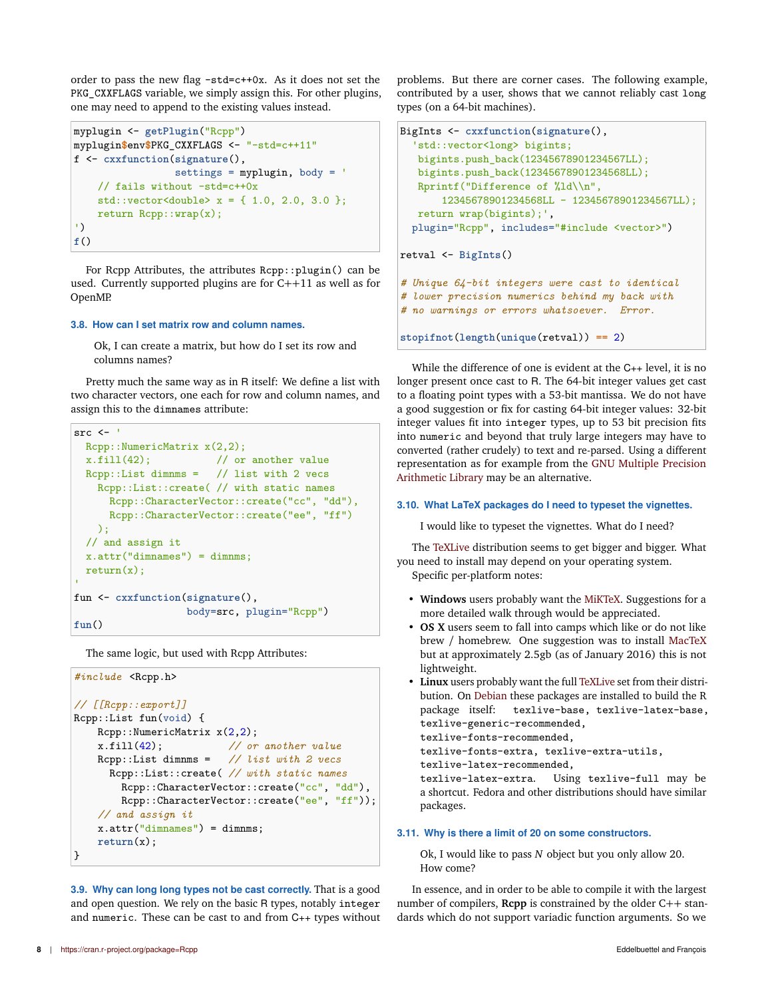order to pass the new flag -std=c++0x. As it does not set the PKG\_CXXFLAGS variable, we simply assign this. For other plugins, one may need to append to the existing values instead.

```
myplugin <- getPlugin("Rcpp")
myplugin$env$PKG_CXXFLAGS <- "-std=c++11"
f <- cxxfunction(signature(),
                 settings = myplugin, body = '// fails without -std=c++0x
    std::vector \leq double> x = \{ 1.0, 2.0, 3.0 \};return Rcpp::wrap(x);
')
f()
```
For Rcpp Attributes, the attributes Rcpp::plugin() can be used. Currently supported plugins are for C++11 as well as for OpenMP.

### **3.8. How can I set matrix row and column names.**

Ok, I can create a matrix, but how do I set its row and columns names?

Pretty much the same way as in R itself: We define a list with two character vectors, one each for row and column names, and assign this to the dimnames attribute:

```
src < -Rcpp::NumericMatrix x(2,2):
  x.fill(42); // or another value
  Rcpp::List dimnms = // list with 2 vecs
   Rcpp::List::create( // with static names
     Rcpp::CharacterVector::create("cc", "dd"),
     Rcpp::CharacterVector::create("ee", "ff")
   );
 // and assign it
 x.attr("dimnames") = dimnms;return(x);fun <- cxxfunction(signature(),
                  body=src, plugin="Rcpp")
fun()
```
The same logic, but used with Rcpp Attributes:

```
#include <Rcpp.h>
// [[Rcpp::export]]
Rcpp::List fun(void) {
    Rcpp::NumericMatrix x(2,2);
    x.fill(42); // or another value
    Rcpp::List dimnms = // list with 2 vecs
      Rcpp::List::create( // with static names
        Rcpp::CharacterVector::create("cc", "dd"),
        Rcpp::CharacterVector::create("ee", "ff"));
    // and assign it
    x.attr("dimensiones") = dimnms;return(x);
\mathbf{R}
```
**3.9. Why can long long types not be cast correctly.** That is a good and open question. We rely on the basic R types, notably integer and numeric. These can be cast to and from C++ types without problems. But there are corner cases. The following example, contributed by a user, shows that we cannot reliably cast long types (on a 64-bit machines).

```
BigInts <- cxxfunction(signature(),
  'std::vector<long> bigints;
   bigints.push_back(12345678901234567LL);
   bigints.push_back(12345678901234568LL);
   Rprintf("Difference of %ld\\n",
       12345678901234568LL - 12345678901234567LL);
  return wrap(bigints);',
  plugin="Rcpp", includes="#include <vector>")
retval <- BigInts()
# Unique 64-bit integers were cast to identical
# lower precision numerics behind my back with
# no warnings or errors whatsoever. Error.
stopifnot(length(unique(retval)) == 2)
```
While the difference of one is evident at the C++ level, it is no longer present once cast to R. The 64-bit integer values get cast to a floating point types with a 53-bit mantissa. We do not have a good suggestion or fix for casting 64-bit integer values: 32-bit integer values fit into integer types, up to 53 bit precision fits into numeric and beyond that truly large integers may have to converted (rather crudely) to text and re-parsed. Using a different representation as for example from the GNU Multiple Precision Arithmetic Library may be an alternative.

#### **3.10. What LaTeX packages do I need to typeset the vignettes.**

I would like to typeset the vignettes. What do I need?

The TeXLive distribution seems to get bigger and bigger. What you need to install may depend on your operating system. Specific per-platform notes:

- **Windows** users probably want the MiKTeX. Suggestions for a more detailed walk through would be appreciated.
- **OS X** users seem to fall into camps which like or do not like brew / homebrew. One suggestion was to install MacTeX but at approximately 2.5gb (as of January 2016) this is not lightweight.
- **Linux** users probably want the full TeXLive set from their distribution. On Debian these packages are installed to build the R package itself: texlive-base, texlive-latex-base, texlive-generic-recommended,

```
texlive-fonts-recommended,
```

```
texlive-fonts-extra, texlive-extra-utils,
```

```
texlive-latex-recommended,
```
texlive-latex-extra. Using texlive-full may be a shortcut. Fedora and other distributions should have similar packages.

#### **3.11. Why is there a limit of 20 on some constructors.**

Ok, I would like to pass *N* object but you only allow 20. How come?

In essence, and in order to be able to compile it with the largest number of compilers, **Rcpp** is constrained by the older C++ standards which do not support variadic function arguments. So we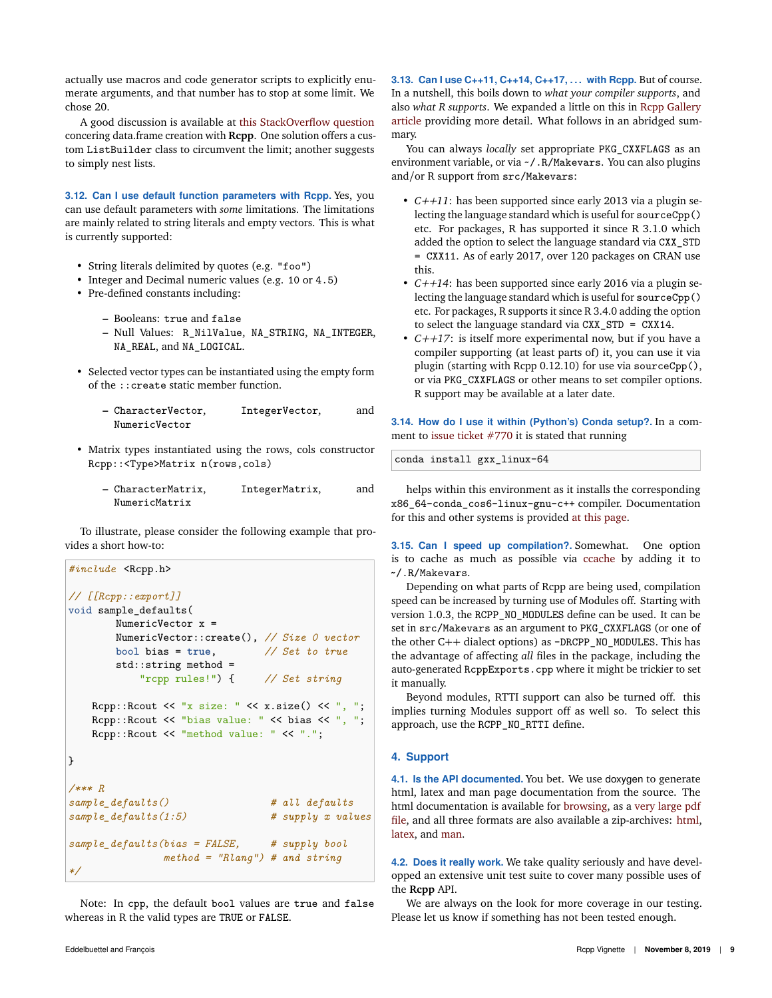actually use macros and code generator scripts to explicitly enumerate arguments, and that number has to stop at some limit. We chose 20.

A good discussion is available at this StackOverflow question concering data.frame creation with **Rcpp**. One solution offers a custom ListBuilder class to circumvent the limit; another suggests to simply nest lists.

**3.12. Can I use default function parameters with Rcpp.** Yes, you can use default parameters with *some* limitations. The limitations are mainly related to string literals and empty vectors. This is what is currently supported:

- String literals delimited by quotes (e.g. "foo")
- Integer and Decimal numeric values (e.g. 10 or 4.5)
- Pre-defined constants including:
	- **–** Booleans: true and false
	- **–** Null Values: R\_NilValue, NA\_STRING, NA\_INTEGER, NA\_REAL, and NA\_LOGICAL.
- Selected vector types can be instantiated using the empty form of the ::create static member function.
	- **–** CharacterVector, IntegerVector, and NumericVector
- Matrix types instantiated using the rows, cols constructor Rcpp::<Type>Matrix n(rows,cols)
	- **–** CharacterMatrix, IntegerMatrix, and NumericMatrix

To illustrate, please consider the following example that provides a short how-to:

```
#include <Rcpp.h>
// [[Rcpp::export]]
void sample_defaults(
       NumericVector x =
       NumericVector::create(), // Size 0 vector
       bool bias = true, // Set to true
       std::string method =
           "rcpp rules!") { // Set string
   Rcpp::Rcout << "x size: " << x.size() << ", ";
   Rcpp::Rcout << "bias value: " << bias << ", ";
   Rcpp::Rcout << "method value: " << ".";
}
/*** R
sample_defaults() # all defaults
sample_defaults(1:5) # supply x values
sample_defaults(bias = FALSE, # supply bool
              method = "Rlang") # and string
*/
```
Note: In cpp, the default bool values are true and false whereas in R the valid types are TRUE or FALSE.

**3.13. Can I use C++11, C++14, C++17, . . . with Rcpp.** But of course. In a nutshell, this boils down to *what your compiler supports*, and also *what R supports*. We expanded a little on this in Rcpp Gallery article providing more detail. What follows in an abridged summary.

You can always *locally* set appropriate PKG\_CXXFLAGS as an environment variable, or via ~/.R/Makevars. You can also plugins and/or R support from src/Makevars:

- *C++11*: has been supported since early 2013 via a plugin selecting the language standard which is useful for sourceCpp() etc. For packages, R has supported it since R 3.1.0 which added the option to select the language standard via CXX\_STD = CXX11. As of early 2017, over 120 packages on CRAN use this.
- *C++14*: has been supported since early 2016 via a plugin selecting the language standard which is useful for sourceCpp() etc. For packages, R supports it since R 3.4.0 adding the option to select the language standard via CXX\_STD = CXX14.
- *C++17*: is itself more experimental now, but if you have a compiler supporting (at least parts of) it, you can use it via plugin (starting with Rcpp 0.12.10) for use via sourceCpp(), or via PKG\_CXXFLAGS or other means to set compiler options. R support may be available at a later date.

**3.14. How do I use it within (Python's) Conda setup?.** In a comment to issue ticket #770 it is stated that running

conda install gxx\_linux-64

helps within this environment as it installs the corresponding x86\_64-conda\_cos6-linux-gnu-c++ compiler. Documentation for this and other systems is provided at this page.

**3.15. Can I speed up compilation?.** Somewhat. One option is to cache as much as possible via ccache by adding it to ~/.R/Makevars.

Depending on what parts of Rcpp are being used, compilation speed can be increased by turning use of Modules off. Starting with version 1.0.3, the RCPP\_NO\_MODULES define can be used. It can be set in src/Makevars as an argument to PKG\_CXXFLAGS (or one of the other C++ dialect options) as -DRCPP\_NO\_MODULES. This has the advantage of affecting *all* files in the package, including the auto-generated RcppExports.cpp where it might be trickier to set it manually.

Beyond modules, RTTI support can also be turned off. this implies turning Modules support off as well so. To select this approach, use the RCPP\_NO\_RTTI define.

## **4. Support**

**4.1. Is the API documented.** You bet. We use doxygen to generate html, latex and man page documentation from the source. The html documentation is available for browsing, as a very large pdf file, and all three formats are also available a zip-archives: html, latex, and man.

**4.2. Does it really work.** We take quality seriously and have developped an extensive unit test suite to cover many possible uses of the **Rcpp** API.

We are always on the look for more coverage in our testing. Please let us know if something has not been tested enough.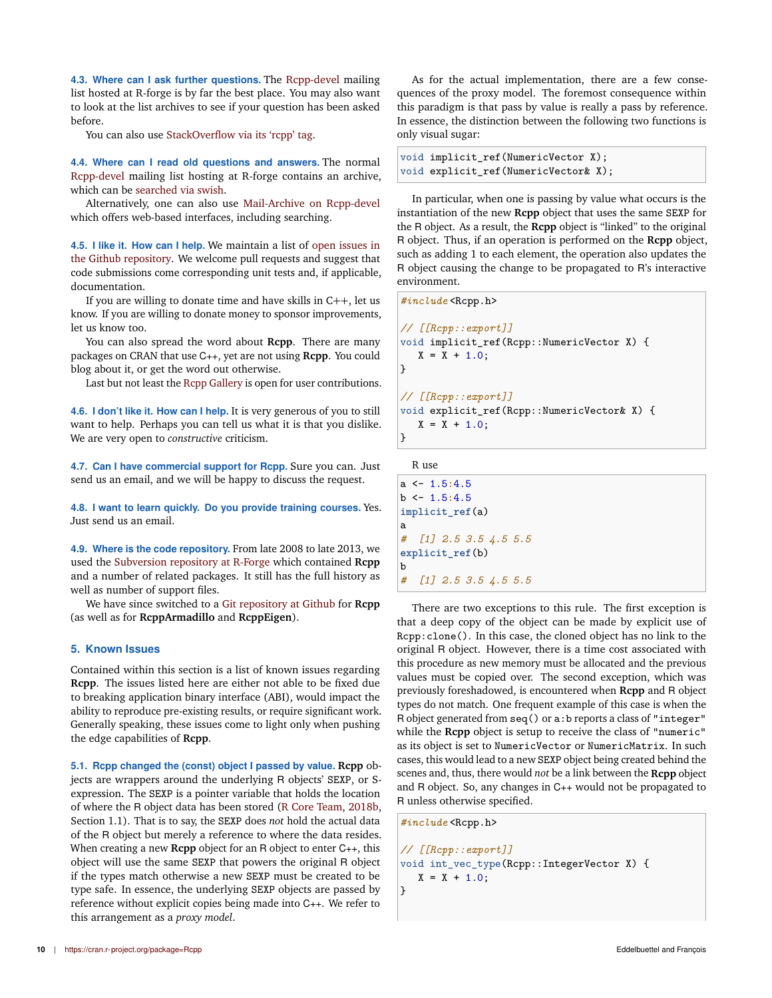**4.3. Where can I ask further questions.** The Rcpp-devel mailing list hosted at R-forge is by far the best place. You may also want to look at the list archives to see if your question has been asked before.

You can also use StackOverflow via its 'rcpp' tag.

**4.4. Where can I read old questions and answers.** The normal Rcpp-devel mailing list hosting at R-forge contains an archive, which can be searched via swish.

Alternatively, one can also use Mail-Archive on Rcpp-devel which offers web-based interfaces, including searching.

**4.5. I like it. How can I help.** We maintain a list of open issues in the Github repository. We welcome pull requests and suggest that code submissions come corresponding unit tests and, if applicable, documentation.

If you are willing to donate time and have skills in C++, let us know. If you are willing to donate money to sponsor improvements, let us know too.

You can also spread the word about **Rcpp**. There are many packages on CRAN that use C++, yet are not using **Rcpp**. You could blog about it, or get the word out otherwise.

Last but not least the Rcpp Gallery is open for user contributions.

**4.6. I don't like it. How can I help.** It is very generous of you to still want to help. Perhaps you can tell us what it is that you dislike. We are very open to *constructive* criticism.

**4.7. Can I have commercial support for Rcpp.** Sure you can. Just send us an email, and we will be happy to discuss the request.

**4.8. I want to learn quickly. Do you provide training courses.** Yes. Just send us an email.

**4.9. Where is the code repository.** From late 2008 to late 2013, we used the Subversion repository at R-Forge which contained **Rcpp** and a number of related packages. It still has the full history as well as number of support files.

We have since switched to a Git repository at Github for **Rcpp** (as well as for **RcppArmadillo** and **RcppEigen**).

## **5. Known Issues**

Contained within this section is a list of known issues regarding **Rcpp**. The issues listed here are either not able to be fixed due to breaking application binary interface (ABI), would impact the ability to reproduce pre-existing results, or require significant work. Generally speaking, these issues come to light only when pushing the edge capabilities of **Rcpp**.

**5.1. Rcpp changed the (const) object I passed by value. Rcpp** objects are wrappers around the underlying R objects' SEXP, or Sexpression. The SEXP is a pointer variable that holds the location of where the R object data has been stored (R Core Team, 2018b, Section 1.1). That is to say, the SEXP does *not* hold the actual data of the R object but merely a reference to where the data resides. When creating a new **Rcpp** object for an R object to enter C++, this object will use the same SEXP that powers the original R object if the types match otherwise a new SEXP must be created to be type safe. In essence, the underlying SEXP objects are passed by reference without explicit copies being made into C++. We refer to this arrangement as a *proxy model*.

As for the actual implementation, there are a few consequences of the proxy model. The foremost consequence within this paradigm is that pass by value is really a pass by reference. In essence, the distinction between the following two functions is only visual sugar:

```
void implicit_ref(NumericVector X);
void explicit_ref(NumericVector& X);
```
In particular, when one is passing by value what occurs is the instantiation of the new **Rcpp** object that uses the same SEXP for the R object. As a result, the **Rcpp** object is "linked" to the original R object. Thus, if an operation is performed on the **Rcpp** object, such as adding 1 to each element, the operation also updates the R object causing the change to be propagated to R's interactive environment.

*#include* <Rcpp.h> *// [[Rcpp::export]]* void implicit\_ref(Rcpp::NumericVector X) {  $X = X + 1.0$ ; } *// [[Rcpp::export]]* void explicit\_ref(Rcpp::NumericVector& X) {  $X = X + 1.0$ ; }

R use

| a <- 1.5:4.5          |
|-----------------------|
| $b \le -1.5:4.5$      |
| implicit_ref(a)       |
| a                     |
| # [1] 2.5 3.5 4.5 5.5 |
| explicit ref(b)       |
| b                     |
| # [1] 2.5 3.5 4.5 5.5 |
|                       |

There are two exceptions to this rule. The first exception is that a deep copy of the object can be made by explicit use of Rcpp:clone(). In this case, the cloned object has no link to the original R object. However, there is a time cost associated with this procedure as new memory must be allocated and the previous values must be copied over. The second exception, which was previously foreshadowed, is encountered when **Rcpp** and R object types do not match. One frequent example of this case is when the R object generated from seq() or a:b reports a class of "integer" while the **Rcpp** object is setup to receive the class of "numeric" as its object is set to NumericVector or NumericMatrix. In such cases, this would lead to a new SEXP object being created behind the scenes and, thus, there would *not* be a link between the **Rcpp** object and R object. So, any changes in C++ would not be propagated to R unless otherwise specified.

```
#include <Rcpp.h>
```

```
// [[Rcpp::export]]
void int_vec_type(Rcpp::IntegerVector X) {
  X = X + 1.0;
}
```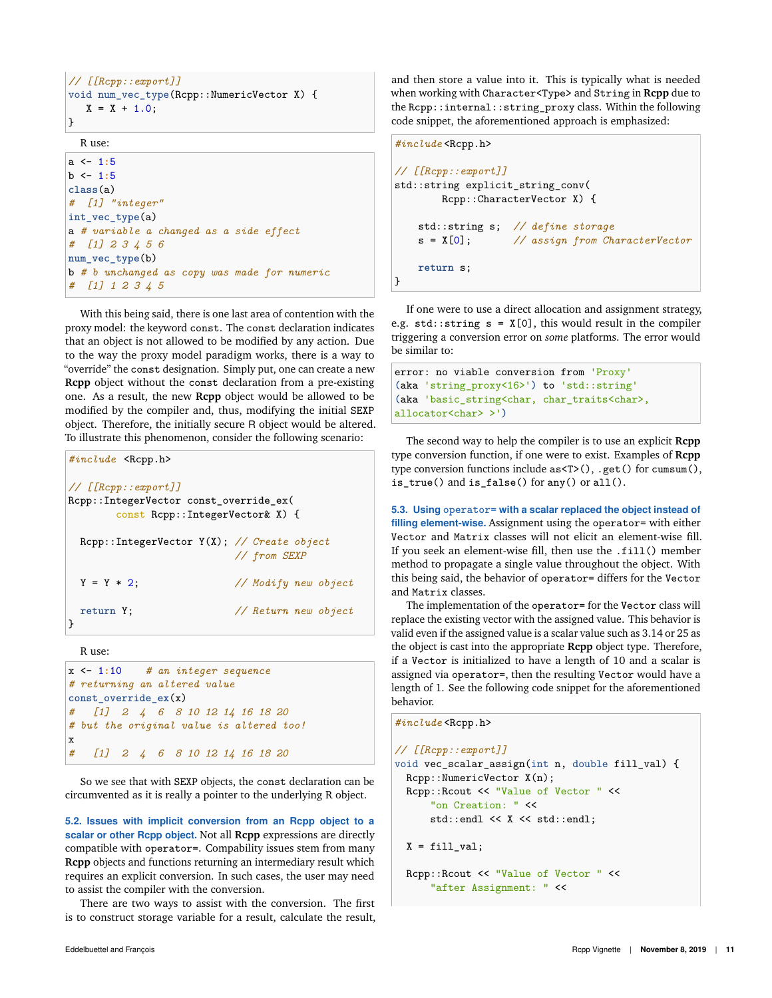```
// [[Rcpp::export]]
void num_vec_type(Rcpp::NumericVector X) {
   X = X + 1.0;}
```
R use:

```
a <- 1:5
b <- 1:5
class(a)
# [1] "integer"
int vec type(a)
a # variable a changed as a side effect
# [1] 2 3 4 5 6
num_vec_type(b)
b # b unchanged as copy was made for numeric
# [1] 1 2 3 4 5
```
With this being said, there is one last area of contention with the proxy model: the keyword const. The const declaration indicates that an object is not allowed to be modified by any action. Due to the way the proxy model paradigm works, there is a way to "override" the const designation. Simply put, one can create a new **Rcpp** object without the const declaration from a pre-existing one. As a result, the new **Rcpp** object would be allowed to be modified by the compiler and, thus, modifying the initial SEXP object. Therefore, the initially secure R object would be altered. To illustrate this phenomenon, consider the following scenario:

```
#include <Rcpp.h>
// [[Rcpp::export]]
Rcpp::IntegerVector const_override_ex(
       const Rcpp::IntegerVector& X) {
 Rcpp::IntegerVector Y(X); // Create object
                        // from SEXP
 Y = Y * 2; // Modify new object
 return Y; // Return new object
}
```
R use:

```
x <- 1:10 # an integer sequence
# returning an altered value
const_override_ex(x)
  # [1] 2 4 6 8 10 12 14 16 18 20
# but the original value is altered too!
x
# [1] 2 4 6 8 10 12 14 16 18 20
```
So we see that with SEXP objects, the const declaration can be circumvented as it is really a pointer to the underlying R object.

**5.2. Issues with implicit conversion from an Rcpp object to a scalar or other Rcpp object.** Not all **Rcpp** expressions are directly compatible with operator=. Compability issues stem from many **Rcpp** objects and functions returning an intermediary result which requires an explicit conversion. In such cases, the user may need to assist the compiler with the conversion.

There are two ways to assist with the conversion. The first is to construct storage variable for a result, calculate the result, and then store a value into it. This is typically what is needed when working with Character<Type> and String in **Rcpp** due to the Rcpp::internal::string\_proxy class. Within the following code snippet, the aforementioned approach is emphasized:

```
#include <Rcpp.h>
// [[Rcpp::export]]
std::string explicit_string_conv(
       Rcpp::CharacterVector X) {
   std::string s; // define storage
   s = X[0]; // assign from CharacterVector
   return s;
}
```
If one were to use a direct allocation and assignment strategy, e.g.  $std::string s = X[0]$ , this would result in the compiler triggering a conversion error on *some* platforms. The error would be similar to:

```
error: no viable conversion from 'Proxy'
(aka 'string_proxy<16>') to 'std::string'
(aka 'basic_string<char, char_traits<char>,
allocator<char> >')
```
The second way to help the compiler is to use an explicit **Rcpp** type conversion function, if one were to exist. Examples of **Rcpp** type conversion functions include as<T>(), .get() for cumsum(), is\_true() and is\_false() for any() or all().

**5.3. Using operator= with a scalar replaced the object instead of filling element-wise.** Assignment using the operator= with either Vector and Matrix classes will not elicit an element-wise fill. If you seek an element-wise fill, then use the .fill() member method to propagate a single value throughout the object. With this being said, the behavior of operator= differs for the Vector and Matrix classes.

The implementation of the operator= for the Vector class will replace the existing vector with the assigned value. This behavior is valid even if the assigned value is a scalar value such as 3.14 or 25 as the object is cast into the appropriate **Rcpp** object type. Therefore, if a Vector is initialized to have a length of 10 and a scalar is assigned via operator=, then the resulting Vector would have a length of 1. See the following code snippet for the aforementioned behavior.

*#include* <Rcpp.h>

```
// [[Rcpp::export]]
void vec_scalar_assign(int n, double fill_val) {
 Rcpp::NumericVector X(n);
 Rcpp::Rcout << "Value of Vector " <<
      "on Creation: " <<
     std::endl << X << std::endl;
 X = fill_val;
```

```
Rcpp::Rcout << "Value of Vector " <<
    "after Assignment: " <<
```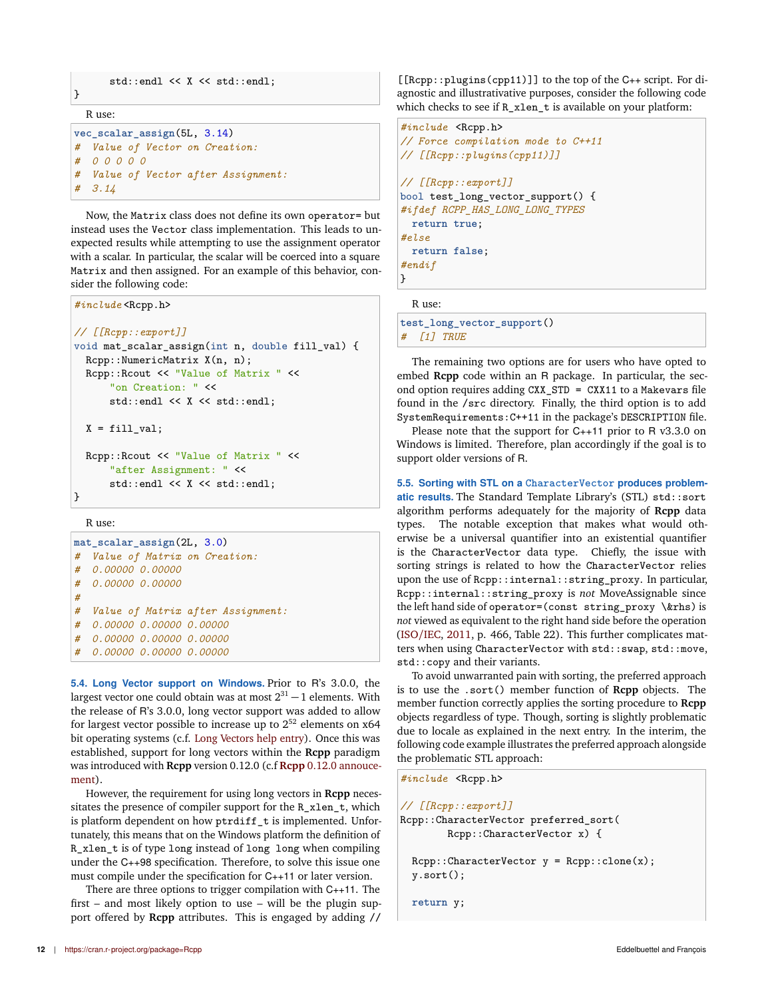```
std::endl << X << std::endl;
```
R use:

 $\mathbf{R}$ 

```
vec_scalar_assign(5L, 3.14)
# Value of Vector on Creation:
# 0 0 0 0 0
# Value of Vector after Assignment:
# 3.14
```
Now, the Matrix class does not define its own operator= but instead uses the Vector class implementation. This leads to unexpected results while attempting to use the assignment operator with a scalar. In particular, the scalar will be coerced into a square Matrix and then assigned. For an example of this behavior, consider the following code:

```
#include <Rcpp.h>
// [[Rcpp::export]]
void mat_scalar_assign(int n, double fill_val) {
 Rcpp::NumericMatrix X(n, n);
 Rcpp::Rcout << "Value of Matrix " <<
      "on Creation: " <<
     std::endl << X << std::endl;
 X = fill_val;Rcpp::Rcout << "Value of Matrix " <<
      "after Assignment: " <<
     std::endl << X << std::endl;
```
R use:

}

|   | mat scalar assign (2L, 3.0)       |
|---|-----------------------------------|
| # | Value of Matrix on Creation:      |
|   | # 0.00000 0.00000                 |
|   | # 0.00000 0.00000                 |
| # |                                   |
| # | Value of Matrix after Assignment: |
| # | 0.00000 0.00000 0.00000           |
| # | 0.00000 0.00000 0.00000           |
|   | # 0.00000 0.00000 0.00000         |

**5.4. Long Vector support on Windows.** Prior to R's 3.0.0, the largest vector one could obtain was at most  $2^{31} - 1$  elements. With the release of R's 3.0.0, long vector support was added to allow for largest vector possible to increase up to  $2^{52}$  elements on x64 bit operating systems (c.f. Long Vectors help entry). Once this was established, support for long vectors within the **Rcpp** paradigm was introduced with **Rcpp** version 0.12.0 (c.f **Rcpp** 0.12.0 annoucement).

However, the requirement for using long vectors in **Rcpp** necessitates the presence of compiler support for the R\_xlen\_t, which is platform dependent on how ptrdiff\_t is implemented. Unfortunately, this means that on the Windows platform the definition of R\_xlen\_t is of type long instead of long long when compiling under the C++98 specification. Therefore, to solve this issue one must compile under the specification for C++11 or later version.

There are three options to trigger compilation with C++11. The first – and most likely option to use – will be the plugin support offered by **Rcpp** attributes. This is engaged by adding //

[[Rcpp::plugins(cpp11)]] to the top of the C++ script. For diagnostic and illustrativative purposes, consider the following code which checks to see if R\_xlen\_t is available on your platform:

```
#include <Rcpp.h>
// Force compilation mode to C++11
// [[Rcpp::plugins(cpp11)]]
// [[Rcpp::export]]
bool test_long_vector_support() {
#ifdef RCPP_HAS_LONG_LONG_TYPES
 return true;
#else
 return false;
#endif
}
```
R use:

**test\_long\_vector\_support**() *# [1] TRUE*

The remaining two options are for users who have opted to embed **Rcpp** code within an R package. In particular, the second option requires adding CXX\_STD = CXX11 to a Makevars file found in the /src directory. Finally, the third option is to add SystemRequirements:C++11 in the package's DESCRIPTION file.

Please note that the support for C++11 prior to R v3.3.0 on Windows is limited. Therefore, plan accordingly if the goal is to support older versions of R.

**5.5. Sorting with STL on a CharacterVector produces problematic results.** The Standard Template Library's (STL) std::sort algorithm performs adequately for the majority of **Rcpp** data types. The notable exception that makes what would otherwise be a universal quantifier into an existential quantifier is the CharacterVector data type. Chiefly, the issue with sorting strings is related to how the CharacterVector relies upon the use of Rcpp::internal::string\_proxy. In particular, Rcpp::internal::string\_proxy is *not* MoveAssignable since the left hand side of operator=(const string\_proxy \&rhs) is *not* viewed as equivalent to the right hand side before the operation (ISO/IEC, 2011, p. 466, Table 22). This further complicates matters when using CharacterVector with std::swap, std::move, std::copy and their variants.

To avoid unwarranted pain with sorting, the preferred approach is to use the .sort() member function of **Rcpp** objects. The member function correctly applies the sorting procedure to **Rcpp** objects regardless of type. Though, sorting is slightly problematic due to locale as explained in the next entry. In the interim, the following code example illustrates the preferred approach alongside the problematic STL approach:

```
#include <Rcpp.h>
```

```
// [[Rcpp::export]]
Rcpp::CharacterVector preferred_sort(
        Rcpp::CharacterVector x) {
```
 $Rcpp::CharacterVector y = Rcpp::clone(x);$ y.sort();

**return** y;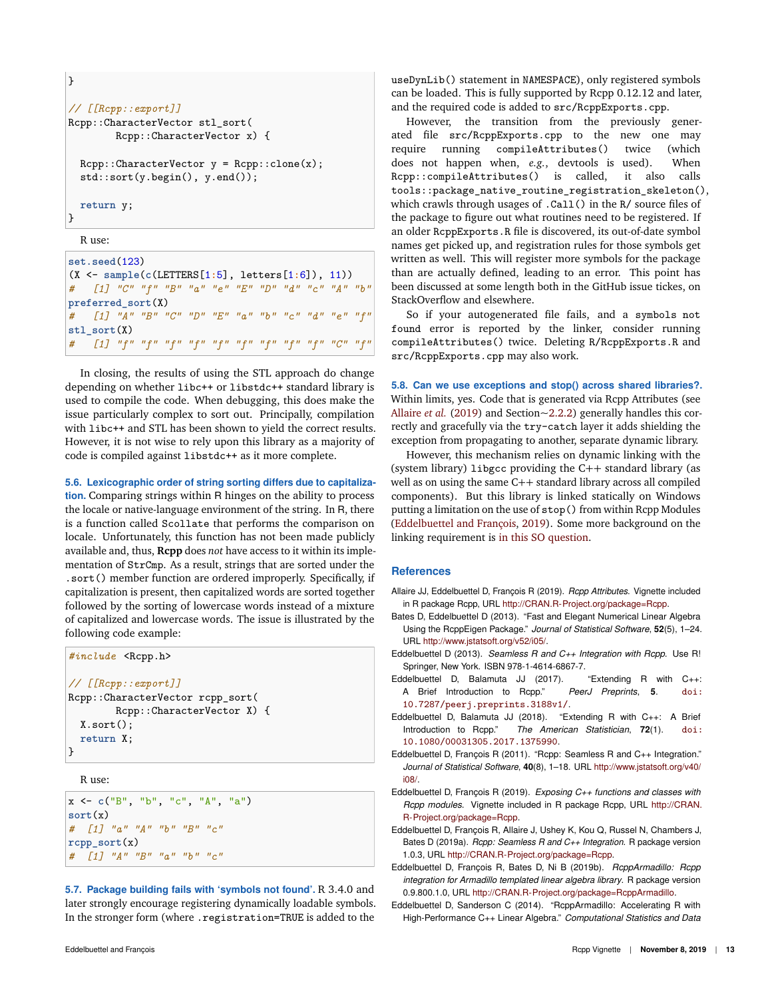```
}
// [[Rcpp::export]]
Rcpp::CharacterVector stl_sort(
        Rcpp::CharacterVector x) {
 Rcpp::CharacterVector y = Rcpp::clone(x);std::sort(y.begin(), y.end());
  return y;
}
```
R use:

**set.seed**(123) (X <- **sample**(**c**(LETTERS[1**:**5], letters[1**:**6]), 11)) *# [1] "C" "f" "B" "a" "e" "E" "D" "d" "c" "A" "b"* **preferred\_sort**(X) *# [1] "A" "B" "C" "D" "E" "a" "b" "c" "d" "e" "f"* **stl\_sort**(X) *# [1] "f" "f" "f" "f" "f" "f" "f" "f" "f" "C" "f"*

In closing, the results of using the STL approach do change depending on whether libc++ or libstdc++ standard library is used to compile the code. When debugging, this does make the issue particularly complex to sort out. Principally, compilation with libc++ and STL has been shown to yield the correct results. However, it is not wise to rely upon this library as a majority of code is compiled against libstdc++ as it more complete.

**5.6. Lexicographic order of string sorting differs due to capitaliza-**

**tion.** Comparing strings within R hinges on the ability to process the locale or native-language environment of the string. In R, there is a function called Scollate that performs the comparison on locale. Unfortunately, this function has not been made publicly available and, thus, **Rcpp** does *not* have access to it within its implementation of StrCmp. As a result, strings that are sorted under the .sort() member function are ordered improperly. Specifically, if capitalization is present, then capitalized words are sorted together followed by the sorting of lowercase words instead of a mixture of capitalized and lowercase words. The issue is illustrated by the following code example:

```
#include <Rcpp.h>
// [[Rcpp::export]]
Rcpp::CharacterVector rcpp_sort(
        Rcpp::CharacterVector X) {
 X.sort();
  return X;
}
```
R use:

```
x <- c("B", "b", "c", "A", "a")
sort(x)
# [1] "a" "A" "b" "B" "c"
rcpp_sort(x)
# [1] "A" "B" "a" "b" "c"
```
**5.7. Package building fails with 'symbols not found'.** R 3.4.0 and later strongly encourage registering dynamically loadable symbols. In the stronger form (where .registration=TRUE is added to the

useDynLib() statement in NAMESPACE), only registered symbols can be loaded. This is fully supported by Rcpp 0.12.12 and later, and the required code is added to src/RcppExports.cpp.

However, the transition from the previously generated file src/RcppExports.cpp to the new one may require running compileAttributes() twice (which does not happen when, *e.g.*, devtools is used). When Rcpp::compileAttributes() is called, it also calls tools::package\_native\_routine\_registration\_skeleton(), which crawls through usages of .Call() in the R/ source files of the package to figure out what routines need to be registered. If an older RcppExports.R file is discovered, its out-of-date symbol names get picked up, and registration rules for those symbols get written as well. This will register more symbols for the package than are actually defined, leading to an error. This point has been discussed at some length both in the GitHub issue tickes, on StackOverflow and elsewhere.

So if your autogenerated file fails, and a symbols not found error is reported by the linker, consider running compileAttributes() twice. Deleting R/RcppExports.R and src/RcppExports.cpp may also work.

**5.8. Can we use exceptions and stop() across shared libraries?.** Within limits, yes. Code that is generated via Rcpp Attributes (see Allaire *et al.* (2019) and Section~2.2.2) generally handles this correctly and gracefully via the try-catch layer it adds shielding the exception from propagating to another, separate dynamic library.

However, this mechanism relies on dynamic linking with the (system library) libgcc providing the C++ standard library (as well as on using the same C++ standard library across all compiled components). But this library is linked statically on Windows putting a limitation on the use of stop() from within Rcpp Modules (Eddelbuettel and François, 2019). Some more background on the linking requirement is in this SO question.

## **References**

- Allaire JJ, Eddelbuettel D, François R (2019). *Rcpp Attributes*. Vignette included in R package Rcpp, URL http://CRAN.R-Project.org/package=Rcpp.
- Bates D, Eddelbuettel D (2013). "Fast and Elegant Numerical Linear Algebra Using the RcppEigen Package." *Journal of Statistical Software*, **52**(5), 1–24. URL http://www.jstatsoft.org/v52/i05/.
- Eddelbuettel D (2013). *Seamless R and C++ Integration with Rcpp*. Use R! Springer, New York. ISBN 978-1-4614-6867-7.
- Eddelbuettel D, Balamuta JJ (2017). "Extending R with C++:<br>A Brief Introduction to Rcpp." PeerJ Preprints, 5. doi: A Brief Introduction to Rcpp." *PeerJ Preprints*, **5**. doi: 10.7287/peerj.preprints.3188v1/.
- Eddelbuettel D, Balamuta JJ (2018). "Extending R with C++: A Brief Introduction to Rcpp." *The American Statistician*, **72**(1). doi: 10.1080/00031305.2017.1375990.
- Eddelbuettel D, François R (2011). "Rcpp: Seamless R and C++ Integration." *Journal of Statistical Software*, **40**(8), 1–18. URL http://www.jstatsoft.org/v40/ i08/.
- Eddelbuettel D, François R (2019). *Exposing C++ functions and classes with Rcpp modules*. Vignette included in R package Rcpp, URL http://CRAN. R-Project.org/package=Rcpp.
- Eddelbuettel D, François R, Allaire J, Ushey K, Kou Q, Russel N, Chambers J, Bates D (2019a). *Rcpp: Seamless R and C++ Integration*. R package version 1.0.3, URL http://CRAN.R-Project.org/package=Rcpp.
- Eddelbuettel D, François R, Bates D, Ni B (2019b). *RcppArmadillo: Rcpp integration for Armadillo templated linear algebra library*. R package version 0.9.800.1.0, URL http://CRAN.R-Project.org/package=RcppArmadillo.
- Eddelbuettel D, Sanderson C (2014). "RcppArmadillo: Accelerating R with High-Performance C++ Linear Algebra." *Computational Statistics and Data*